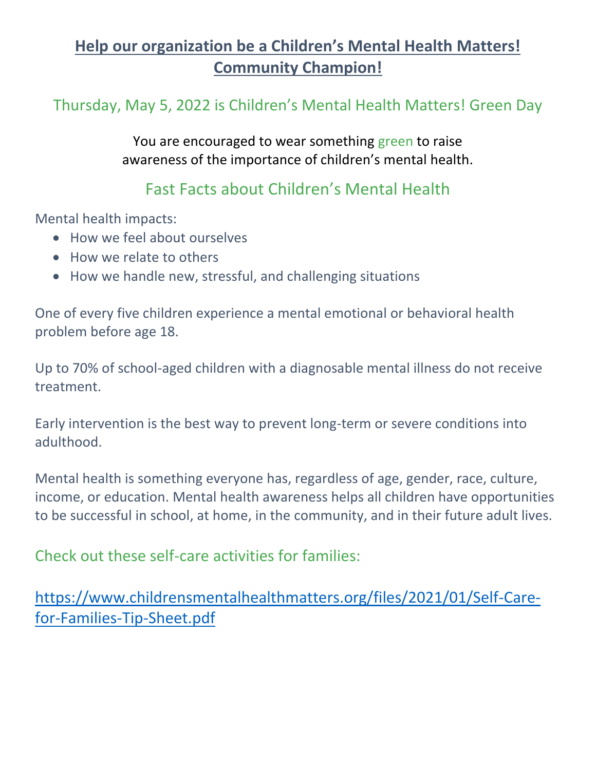## **Help our organization be a Children's Mental Health Matters! Community Champion!**

Thursday, May 5, 2022 is Children's Mental Health Matters! Green Day

You are encouraged to wear something green to raise awareness of the importance of children's mental health.

## Fast Facts about Children's Mental Health

Mental health impacts:

- How we feel about ourselves
- How we relate to others
- How we handle new, stressful, and challenging situations

One of every five children experience a mental emotional or behavioral health problem before age 18.

Up to 70% of school-aged children with a diagnosable mental illness do not receive treatment.

Early intervention is the best way to prevent long-term or severe conditions into adulthood.

Mental health is something everyone has, regardless of age, gender, race, culture, income, or education. Mental health awareness helps all children have opportunities to be successful in school, at home, in the community, and in their future adult lives.

Check out these self-care activities for families:

[https://www.childrensmentalhealthmatters.org/files/2021/01/Self-Care](https://www.childrensmentalhealthmatters.org/files/2021/01/Self-Care-for-Families-Tip-Sheet.pdf)[for-Families-Tip-Sheet.pdf](https://www.childrensmentalhealthmatters.org/files/2021/01/Self-Care-for-Families-Tip-Sheet.pdf)